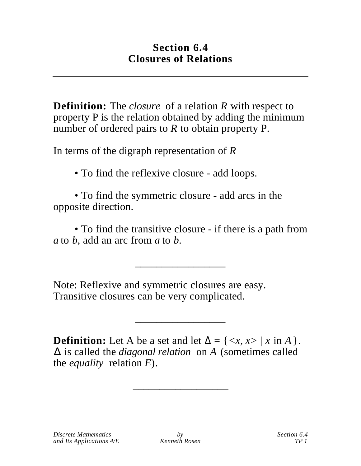## **Section 6.4 Closures of Relations**

**Definition:** The *closure* of a relation *R* with respect to property P is the relation obtained by adding the minimum number of ordered pairs to *R* to obtain property P.

In terms of the digraph representation of *R*

• To find the reflexive closure - add loops.

• To find the symmetric closure - add arcs in the opposite direction.

• To find the transitive closure - if there is a path from *a* to *b*, add an arc from *a* to *b*.

\_\_\_\_\_\_\_\_\_\_\_\_\_\_\_\_\_

Note: Reflexive and symmetric closures are easy. Transitive closures can be very complicated.

**Definition:** Let A be a set and let  $= \{ \langle x, x \rangle \mid x \text{ in } A \}.$  is called the *diagonal relation* on *A* (sometimes called the *equality* relation *E*).

\_\_\_\_\_\_\_\_\_\_\_\_\_\_\_\_\_\_

\_\_\_\_\_\_\_\_\_\_\_\_\_\_\_\_\_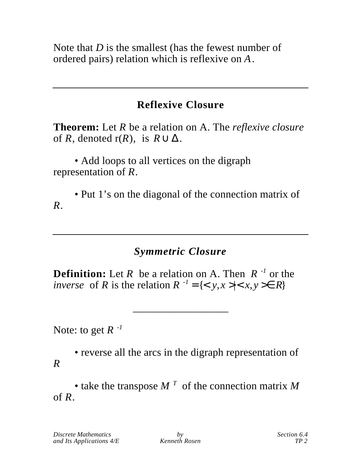Note that *D* is the smallest (has the fewest number of ordered pairs) relation which is reflexive on *A*.

# **Reflexive Closure**

**Theorem:** Let *R* be a relation on A. The *reflexive closure* of  $R$ , denoted  $r(R)$ , is  $R$ 

• Add loops to all vertices on the digraph representation of *R*.

• Put 1's on the diagonal of the connection matrix of *R.*

# *Symmetric Closure*

\_\_\_\_\_\_\_\_\_\_\_\_\_\_\_\_\_\_

**Definition:** Let *R* be a relation on A. Then *R -1* or the *inverse* of *R* is the relation  $R^{-1} = \{ \langle y, x \rangle | \langle x, y \rangle | R \}$ 

Note: to get  $R^{-1}$ 

• reverse all the arcs in the digraph representation of *R*

• take the transpose *M <sup>T</sup>* of the connection matrix *M* of *R*.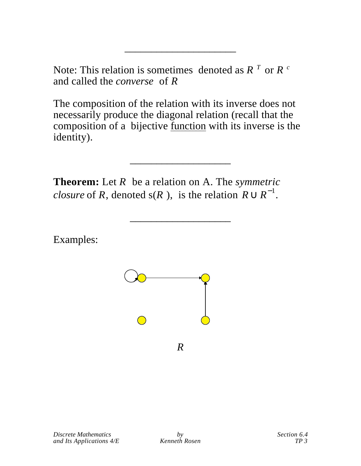Note: This relation is sometimes denoted as  $R<sup>T</sup>$  or  $R<sup>c</sup>$ and called the *converse* of *R*

\_\_\_\_\_\_\_\_\_\_\_\_\_\_\_\_\_\_\_\_\_

The composition of the relation with its inverse does not necessarily produce the diagonal relation (recall that the composition of a bijective function with its inverse is the identity).

\_\_\_\_\_\_\_\_\_\_\_\_\_\_\_\_\_\_\_

\_\_\_\_\_\_\_\_\_\_\_\_\_\_\_\_\_\_\_

**Theorem:** Let *R* be a relation on A. The *symmetric closure* of  $R$ , denoted  $s(R)$ , is the relation  $R$ −1 .

Examples:

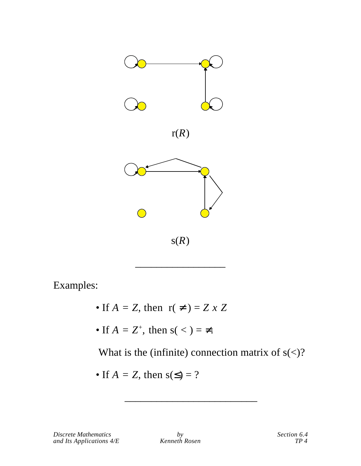

Examples:

- If  $A = Z$ , then  $r() = Z \times Z$
- If  $A = Z^+$ , then  $s(<) = -$ .

What is the (infinite) connection matrix of  $s \leq 2$ ?

• If 
$$
A = Z
$$
, then  $s( ) = ?$ 

\_\_\_\_\_\_\_\_\_\_\_\_\_\_\_\_\_\_\_\_\_\_\_\_\_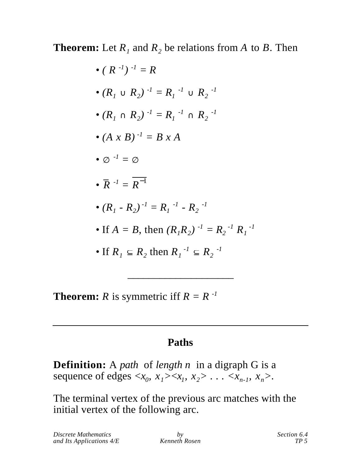**Theorem:** Let  $R_1$  and  $R_2$  be relations from  $A$  to  $B$ . Then

**Theorem:** *R* is symmetric iff  $R = R^{-1}$ 

## **Paths**

\_\_\_\_\_\_\_\_\_\_\_\_\_\_\_\_\_\_\_\_

**Definition:** A *path* of *length n* in a digraph G is a sequence of edges  $\langle x_0, x_1 \rangle \langle x_1, x_2 \rangle \dots \langle x_{n-1}, x_n \rangle$ .

The terminal vertex of the previous arc matches with the initial vertex of the following arc.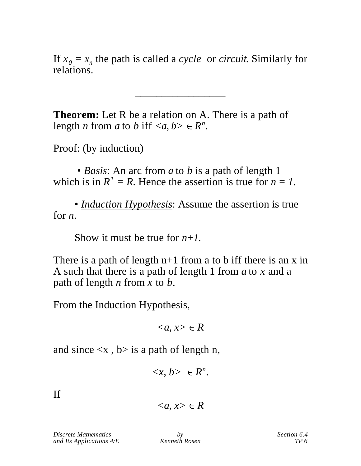If  $x_0 = x_n$  the path is called a *cycle* or *circuit*. Similarly for relations.

\_\_\_\_\_\_\_\_\_\_\_\_\_\_\_\_\_

**Theorem:** Let R be a relation on A. There is a path of length *n* from *a* to *b* iff  $\langle a, b \rangle$   $R^n$ .

Proof: (by induction)

 • *Basis*: An arc from *a* to *b* is a path of length 1 which is in  $R^1 = R$ . Hence the assertion is true for  $n = 1$ .

• *Induction Hypothesis:* Assume the assertion is true for *n*.

Show it must be true for *n+1*.

There is a path of length  $n+1$  from a to b iff there is an x in A such that there is a path of length 1 from *a* to *x* and a path of length *n* from *x* to *b.*

From the Induction Hypothesis,

 $\langle a, x \rangle$  R

and since  $\langle x, b \rangle$  is a path of length n,

$$
\langle x, b \rangle \quad R^n.
$$

If

*Discrete Mathematics by Section 6.4*<br>and Its Applications 4/E *Kenneth Rosen Section 6.4 and Its Applications*  $4/E$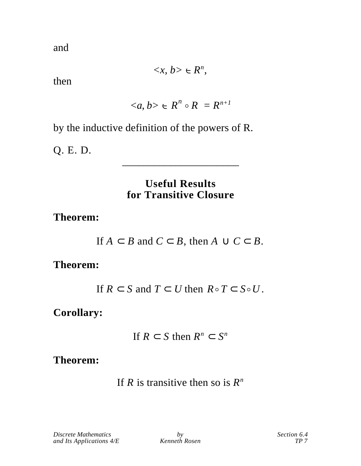and

 $\langle x, b \rangle$   $R^n$ ,

then

$$
\langle a, b \rangle \quad R^n \circ R = R^{n+1}
$$

by the inductive definition of the powers of R.

Q. E. D.

#### **Useful Results for Transitive Closure**

\_\_\_\_\_\_\_\_\_\_\_\_\_\_\_\_\_\_\_\_\_\_

**Theorem:**

|  |  | If $A$ $B$ and $C$ $B$ , then $A$ $C$ $B$ . |  |  |
|--|--|---------------------------------------------|--|--|
|--|--|---------------------------------------------|--|--|

## **Theorem:**

If  $R$  *S* and  $T$  *U* then  $R \circ T$  *S* $\circ U$ .

**Corollary:**

If  $R$  *S* then  $R^n$  *S<sup>n</sup>* 

**Theorem:**

If *R* is transitive then so is  $R^n$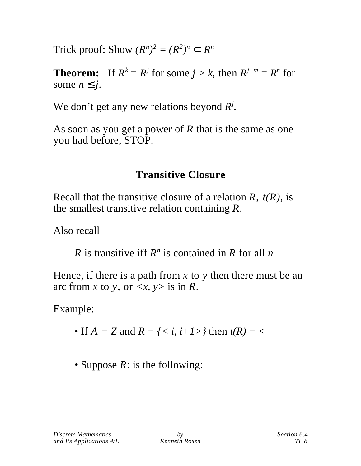Trick proof: Show  $(R^n)^2 = (R^2)^n$   $R^n$ 

**Theorem:** If  $R^k = R^j$  for some  $j > k$ , then  $R^{j+m} = R^n$  for some *n j*.

We don't get any new relations beyond  $R^j$ .

As soon as you get a power of *R* that is the same as one you had before, STOP.

# **Transitive Closure**

 Recall that the transitive closure of a relation *R*, *t(R),* is the smallest transitive relation containing *R*.

Also recall

*R* is transitive iff  $R^n$  is contained in *R* for all *n* 

Hence, if there is a path from *x* to *y* then there must be an arc from *x* to *y*, or  $\langle x, y \rangle$  is in *R*.

Example:

- If  $A = Z$  and  $R = \{ \langle i, i+1 \rangle \}$  then  $t(R) = \langle i, i+1 \rangle$
- Suppose *R*: is the following: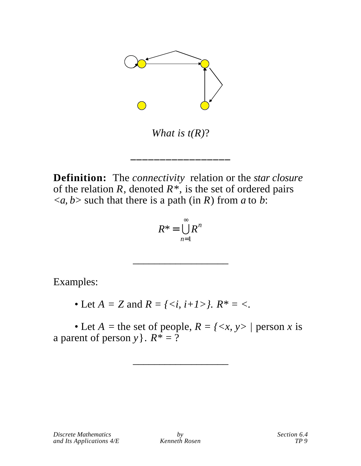

*What is t(R)*?

\_\_\_\_\_\_\_\_\_\_\_\_\_\_\_\_\_\_\_\_\_\_\_

**Definition:** The *connectivity* relation or the *star closure* of the relation  $R$ , denoted  $R^*$ , is the set of ordered pairs  $\langle a, b \rangle$  such that there is a path (in *R*) from *a* to *b*:

$$
R^* = \bigcup_{n=1} R^n
$$

\_\_\_\_\_\_\_\_\_\_\_\_\_\_\_\_\_\_

Examples:

• Let  $A = Z$  and  $R = \{ \langle i, i+1 \rangle \}$ .  $R^* = \langle i, i \rangle$ .

• Let  $A =$  the set of people,  $R = \langle \langle x, y \rangle \rangle$  person *x* is a parent of person *y* }.  $R^* = \overline{?}$ 

\_\_\_\_\_\_\_\_\_\_\_\_\_\_\_\_\_\_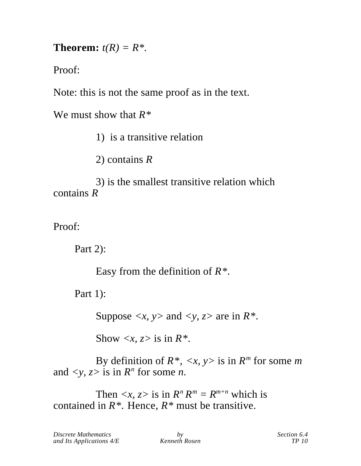**Theorem:**  $t(R) = R^*$ .

Proof:

Note: this is not the same proof as in the text.

We must show that *R\**

1) is a transitive relation

2) contains *R*

3) is the smallest transitive relation which contains *R*

Proof:

Part 2):

Easy from the definition of *R\*.*

Part 1):

Suppose  $\langle x, y \rangle$  and  $\langle y, z \rangle$  are in  $R^*$ .

Show  $\langle x, z \rangle$  is in  $R^*$ .

By definition of  $R^*$ ,  $\langle x, y \rangle$  is in  $R^m$  for some *m* and  $\langle y, z \rangle$  is in  $R^n$  for some *n*.

Then  $\langle x, z \rangle$  is in  $R^n R^m = R^{m+n}$  which is contained in  $R^*$ . Hence,  $R^*$  must be transitive.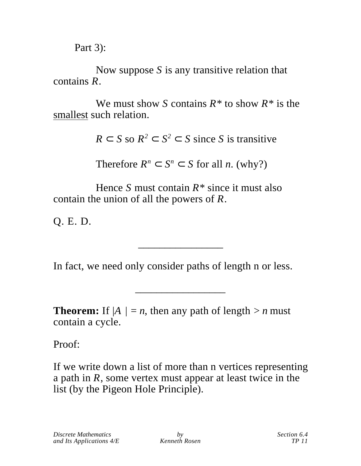Part 3):

Now suppose *S* is any transitive relation that contains *R*.

We must show *S* contains *R\** to show *R\** is the smallest such relation.

*R*  $S$  so  $R^2$   $S^2$   $S$  since *S* is transitive

Therefore  $R^n$  *S<sup>n</sup> S* for all *n*. (why?)

Hence *S* must contain *R\** since it must also contain the union of all the powers of *R*.

Q. E. D.

In fact, we need only consider paths of length n or less.

\_\_\_\_\_\_\_\_\_\_\_\_\_\_\_\_

\_\_\_\_\_\_\_\_\_\_\_\_\_\_\_\_\_

**Theorem:** If  $|A| = n$ , then any path of length  $> n$  must contain a cycle.

Proof:

If we write down a list of more than n vertices representing a path in *R*, some vertex must appear at least twice in the list (by the Pigeon Hole Principle).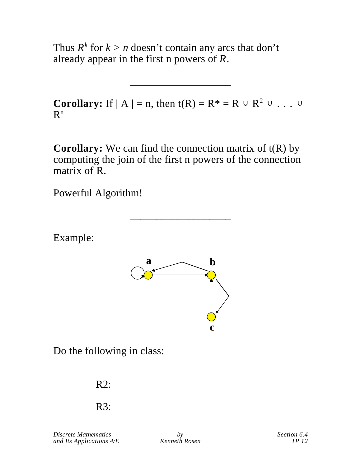Thus  $R^k$  for  $k > n$  doesn't contain any arcs that don't already appear in the first n powers of *R*.

**Corollary:** If  $|A| = n$ , then  $t(R) = R^* = R$   $R^2$   $\ldots$ R n

\_\_\_\_\_\_\_\_\_\_\_\_\_\_\_\_\_\_\_

**Corollary:** We can find the connection matrix of t(R) by computing the join of the first n powers of the connection matrix of R.

\_\_\_\_\_\_\_\_\_\_\_\_\_\_\_\_\_\_\_

Powerful Algorithm!

Example:



Do the following in class:

R2:

R3:

*Discrete Mathematics by Section 6.4*<br>and Its Applications  $4/E$  *Kenneth Rosen Section 6.4 and Its Applications*  $4/E$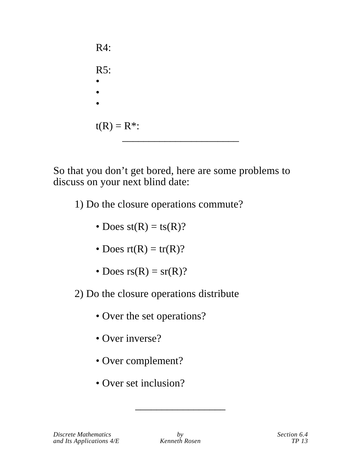R4: R5: • • •  $t(R) = R^*$ : \_\_\_\_\_\_\_\_\_\_\_\_\_\_\_\_\_\_\_\_\_\_

So that you don't get bored, here are some problems to discuss on your next blind date:

- 1) Do the closure operations commute?
	- Does  $st(R) = ts(R)$ ?
	- Does  $rt(R) = tr(R)$ ?
	- Does  $rs(R) = sr(R)$ ?
- 2) Do the closure operations distribute
	- Over the set operations?
	- Over inverse?
	- Over complement?
	- Over set inclusion?

\_\_\_\_\_\_\_\_\_\_\_\_\_\_\_\_\_